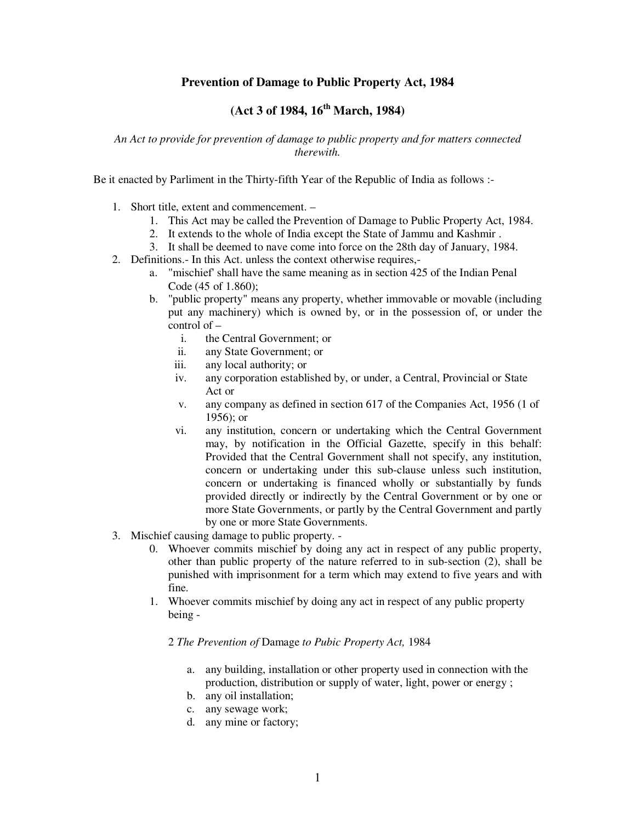## **Prevention of Damage to Public Property Act, 1984**

# **(Act 3 of 1984, 16th March, 1984)**

*An Act to provide for prevention of damage to public property and for matters connected therewith.* 

Be it enacted by Parliment in the Thirty-fifth Year of the Republic of India as follows :-

- 1. Short title, extent and commencement.
	- 1. This Act may be called the Prevention of Damage to Public Property Act, 1984.
	- 2. It extends to the whole of India except the State of Jammu and Kashmir .
	- 3. It shall be deemed to nave come into force on the 28th day of January, 1984.
- 2. Definitions.- In this Act. unless the context otherwise requires,
	- a. "mischief' shall have the same meaning as in section 425 of the Indian Penal Code (45 of 1.860);
	- b. "public property" means any property, whether immovable or movable (including put any machinery) which is owned by, or in the possession of, or under the control of –
		- i. the Central Government; or
		- ii. any State Government; or
		- iii. any local authority; or
		- iv. any corporation established by, or under, a Central, Provincial or State Act or
		- v. any company as defined in section 617 of the Companies Act, 1956 (1 of 1956); or
		- vi. any institution, concern or undertaking which the Central Government may, by notification in the Official Gazette, specify in this behalf: Provided that the Central Government shall not specify, any institution, concern or undertaking under this sub-clause unless such institution, concern or undertaking is financed wholly or substantially by funds provided directly or indirectly by the Central Government or by one or more State Governments, or partly by the Central Government and partly by one or more State Governments.
- 3. Mischief causing damage to public property.
	- 0. Whoever commits mischief by doing any act in respect of any public property, other than public property of the nature referred to in sub-section (2), shall be punished with imprisonment for a term which may extend to five years and with fine.
	- 1. Whoever commits mischief by doing any act in respect of any public property being -

### 2 *The Prevention of* Damage *to Pubic Property Act,* 1984

- a. any building, installation or other property used in connection with the production, distribution or supply of water, light, power or energy ;
- b. any oil installation;
- c. any sewage work;
- d. any mine or factory;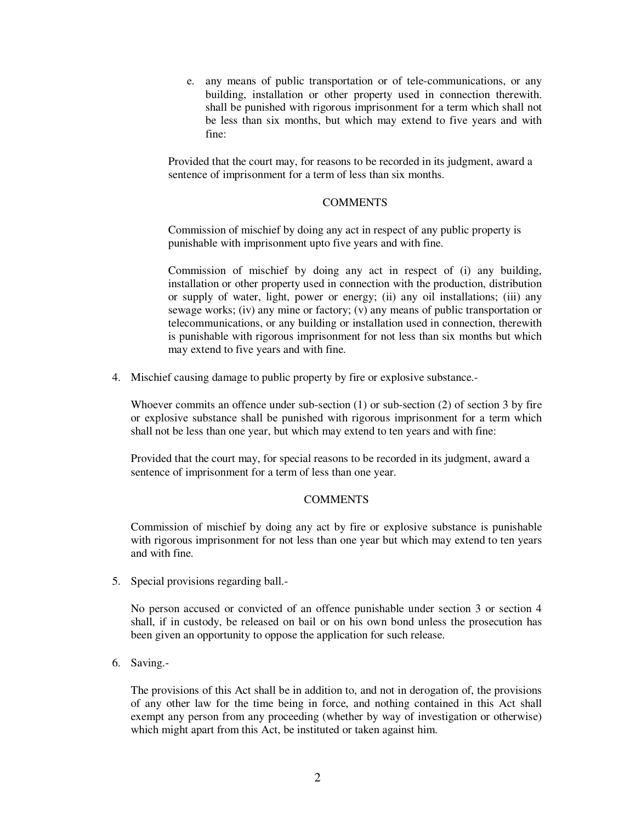e. any means of public transportation or of tele-communications, or any building, installation or other property used in connection therewith. shall be punished with rigorous imprisonment for a term which shall not be less than six months, but which may extend to five years and with fine:

Provided that the court may, for reasons to be recorded in its judgment, award a sentence of imprisonment for a term of less than six months.

#### **COMMENTS**

Commission of mischief by doing any act in respect of any public property is punishable with imprisonment upto five years and with fine.

Commission of mischief by doing any act in respect of (i) any building, installation or other property used in connection with the production, distribution or supply of water, light, power or energy; (ii) any oil installations; (iii) any sewage works; (iv) any mine or factory; (v) any means of public transportation or telecommunications, or any building or installation used in connection, therewith is punishable with rigorous imprisonment for not less than six months but which may extend to five years and with fine.

4. Mischief causing damage to public property by fire or explosive substance.-

Whoever commits an offence under sub-section (1) or sub-section (2) of section 3 by fire or explosive substance shall be punished with rigorous imprisonment for a term which shall not be less than one year, but which may extend to ten years and with fine:

Provided that the court may, for special reasons to be recorded in its judgment, award a sentence of imprisonment for a term of less than one year.

### **COMMENTS**

Commission of mischief by doing any act by fire or explosive substance is punishable with rigorous imprisonment for not less than one year but which may extend to ten years and with fine.

5. Special provisions regarding ball.-

No person accused or convicted of an offence punishable under section 3 or section 4 shall, if in custody, be released on bail or on his own bond unless the prosecution has been given an opportunity to oppose the application for such release.

6. Saving.-

The provisions of this Act shall be in addition to, and not in derogation of, the provisions of any other law for the time being in force, and nothing contained in this Act shall exempt any person from any proceeding (whether by way of investigation or otherwise) which might apart from this Act, be instituted or taken against him.